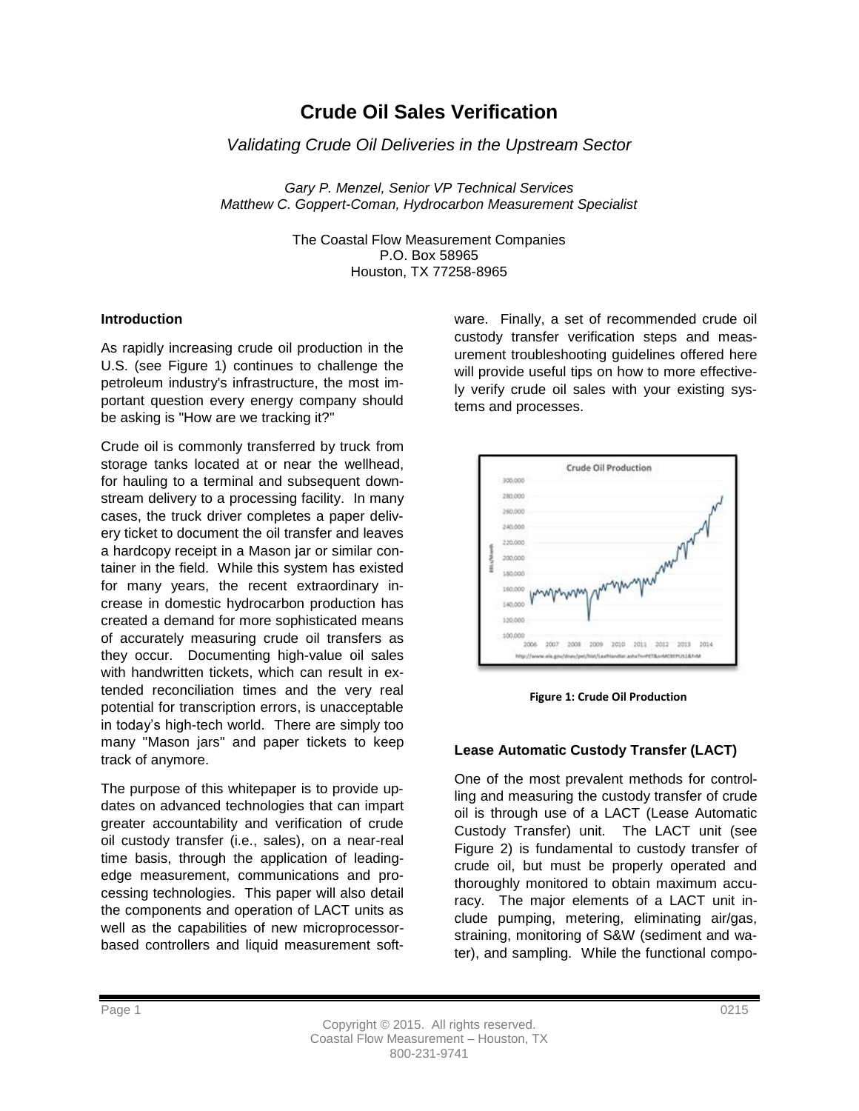# **Crude Oil Sales Verification**

*Validating Crude Oil Deliveries in the Upstream Sector*

*Gary P. Menzel, Senior VP Technical Services Matthew C. Goppert-Coman, Hydrocarbon Measurement Specialist*

> The Coastal Flow Measurement Companies P.O. Box 58965 Houston, TX 77258-8965

## **Introduction**

As rapidly increasing crude oil production in the U.S. (see Figure 1) continues to challenge the petroleum industry's infrastructure, the most important question every energy company should be asking is "How are we tracking it?"

Crude oil is commonly transferred by truck from storage tanks located at or near the wellhead, for hauling to a terminal and subsequent downstream delivery to a processing facility. In many cases, the truck driver completes a paper delivery ticket to document the oil transfer and leaves a hardcopy receipt in a Mason jar or similar container in the field. While this system has existed for many years, the recent extraordinary increase in domestic hydrocarbon production has created a demand for more sophisticated means of accurately measuring crude oil transfers as they occur. Documenting high-value oil sales with handwritten tickets, which can result in extended reconciliation times and the very real potential for transcription errors, is unacceptable in today's high-tech world. There are simply too many "Mason jars" and paper tickets to keep track of anymore.

The purpose of this whitepaper is to provide updates on advanced technologies that can impart greater accountability and verification of crude oil custody transfer (i.e., sales), on a near-real time basis, through the application of leadingedge measurement, communications and processing technologies. This paper will also detail the components and operation of LACT units as well as the capabilities of new microprocessorbased controllers and liquid measurement software. Finally, a set of recommended crude oil custody transfer verification steps and measurement troubleshooting guidelines offered here will provide useful tips on how to more effectively verify crude oil sales with your existing systems and processes.



**Figure 1: Crude Oil Production**

# **Lease Automatic Custody Transfer (LACT)**

One of the most prevalent methods for controlling and measuring the custody transfer of crude oil is through use of a LACT (Lease Automatic Custody Transfer) unit. The LACT unit (see Figure 2) is fundamental to custody transfer of crude oil, but must be properly operated and thoroughly monitored to obtain maximum accuracy. The major elements of a LACT unit include pumping, metering, eliminating air/gas, straining, monitoring of S&W (sediment and water), and sampling. While the functional compo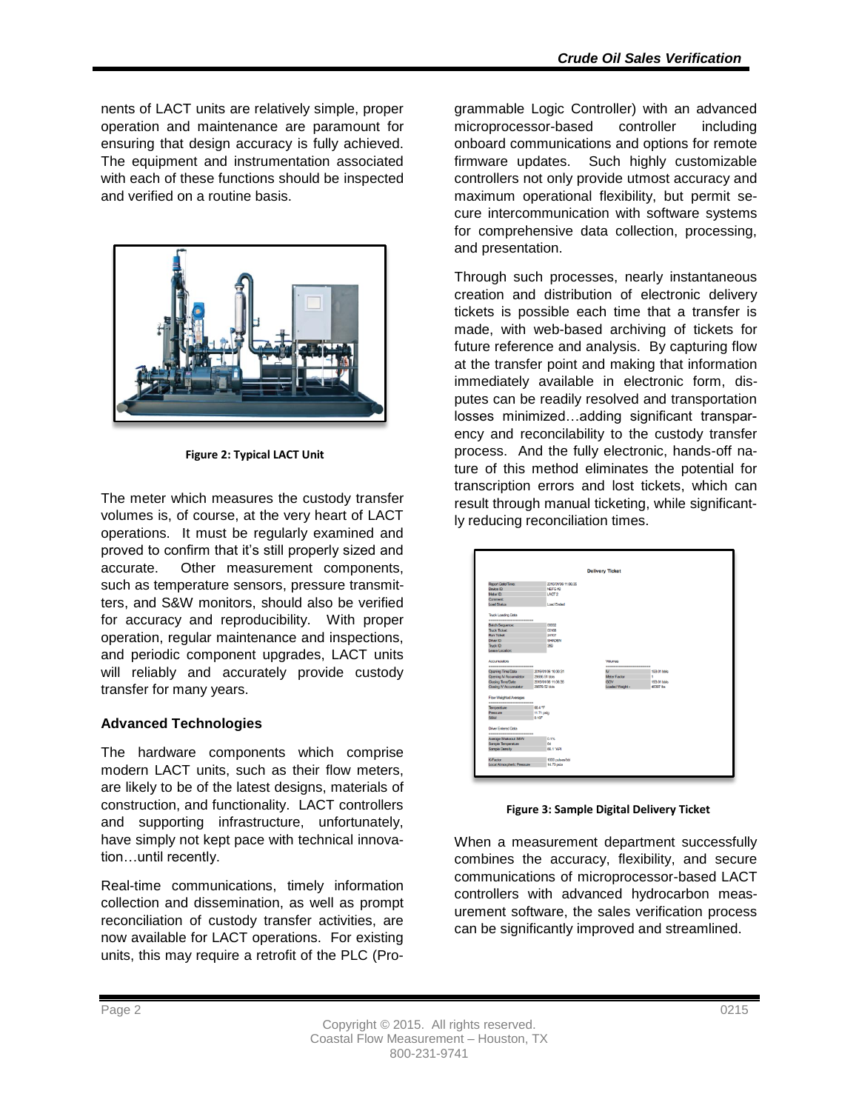nents of LACT units are relatively simple, proper operation and maintenance are paramount for ensuring that design accuracy is fully achieved. The equipment and instrumentation associated with each of these functions should be inspected and verified on a routine basis.



**Figure 2: Typical LACT Unit**

The meter which measures the custody transfer volumes is, of course, at the very heart of LACT operations. It must be regularly examined and proved to confirm that it's still properly sized and accurate. Other measurement components, such as temperature sensors, pressure transmitters, and S&W monitors, should also be verified for accuracy and reproducibility. With proper operation, regular maintenance and inspections, and periodic component upgrades, LACT units will reliably and accurately provide custody transfer for many years.

# **Advanced Technologies**

The hardware components which comprise modern LACT units, such as their flow meters, are likely to be of the latest designs, materials of construction, and functionality. LACT controllers and supporting infrastructure, unfortunately, have simply not kept pace with technical innovation…until recently.

Real-time communications, timely information collection and dissemination, as well as prompt reconciliation of custody transfer activities, are now available for LACT operations. For existing units, this may require a retrofit of the PLC (Programmable Logic Controller) with an advanced microprocessor-based controller including onboard communications and options for remote firmware updates. Such highly customizable controllers not only provide utmost accuracy and maximum operational flexibility, but permit secure intercommunication with software systems for comprehensive data collection, processing, and presentation.

Through such processes, nearly instantaneous creation and distribution of electronic delivery tickets is possible each time that a transfer is made, with web-based archiving of tickets for future reference and analysis. By capturing flow at the transfer point and making that information immediately available in electronic form, disputes can be readily resolved and transportation losses minimized…adding significant transparency and reconcilability to the custody transfer process. And the fully electronic, hands-off nature of this method eliminates the potential for transcription errors and lost tickets, which can result through manual ticketing, while significantly reducing reconciliation times.

|                             |                     | <b>Delivery Ticket</b> |             |
|-----------------------------|---------------------|------------------------|-------------|
|                             |                     |                        |             |
| <b>Report Date/Time:</b>    | 2015/01/06 11:06:35 |                        |             |
| Device ID:                  | NEFG #2             |                        |             |
| Motor ID:                   | LACT <sub>2</sub>   |                        |             |
| Comment:                    |                     |                        |             |
| Load Status                 | <b>Load Ended</b>   |                        |             |
| Truck Loading Data          |                     |                        |             |
| ----------------------      |                     |                        |             |
| <b>Batch Sequence:</b>      | 00002               |                        |             |
| <b>Truck Ticket</b>         | OO168               |                        |             |
| <b>Run Ticket</b>           | 24107               |                        |             |
| Driver ID:                  | <b>SHADEN</b>       |                        |             |
| Tork ID                     | 359                 |                        |             |
| Lease Location:             |                     |                        |             |
| <b>Accumulators</b>         |                     | <b>Volumes</b>         |             |
| -----------------------     |                     | ---------------------- |             |
| Opening Time/Date           | 2015/01/06 10:30:31 | N                      | 193.01 bbis |
| Opening IV Accumulator      | 29696.51 bhis       | <b>Meter Factor</b>    | ×.          |
| Closing Time/Date           | 2015/01/06 11:06:35 | <b>GOV</b>             | 193.01 bbis |
| Closing IV Accumulator      | 29679.52 hbis       | Loaded Weight -        | 48397 lbs   |
| Flow Weighted Averages      |                     |                        |             |
| -----------------------     |                     |                        |             |
| Temperature                 | 66.4 °F             |                        |             |
| Pressure                    | 11.71 psig          |                        |             |
| SSW                         | 0.107               |                        |             |
| <b>Driver Fintered Data</b> |                     |                        |             |
| -----------------------     |                     |                        |             |
| Average Shakeout S&W        | 0.1%                |                        |             |
| Sample Temperature          | 64                  |                        |             |
| Sample Density              | 66.1.3API           |                        |             |
| <b>K-Factor</b>             | 1000 pulses/bbi     |                        |             |
|                             | 14.73 psia          |                        |             |

**Figure 3: Sample Digital Delivery Ticket**

When a measurement department successfully combines the accuracy, flexibility, and secure communications of microprocessor-based LACT controllers with advanced hydrocarbon measurement software, the sales verification process can be significantly improved and streamlined.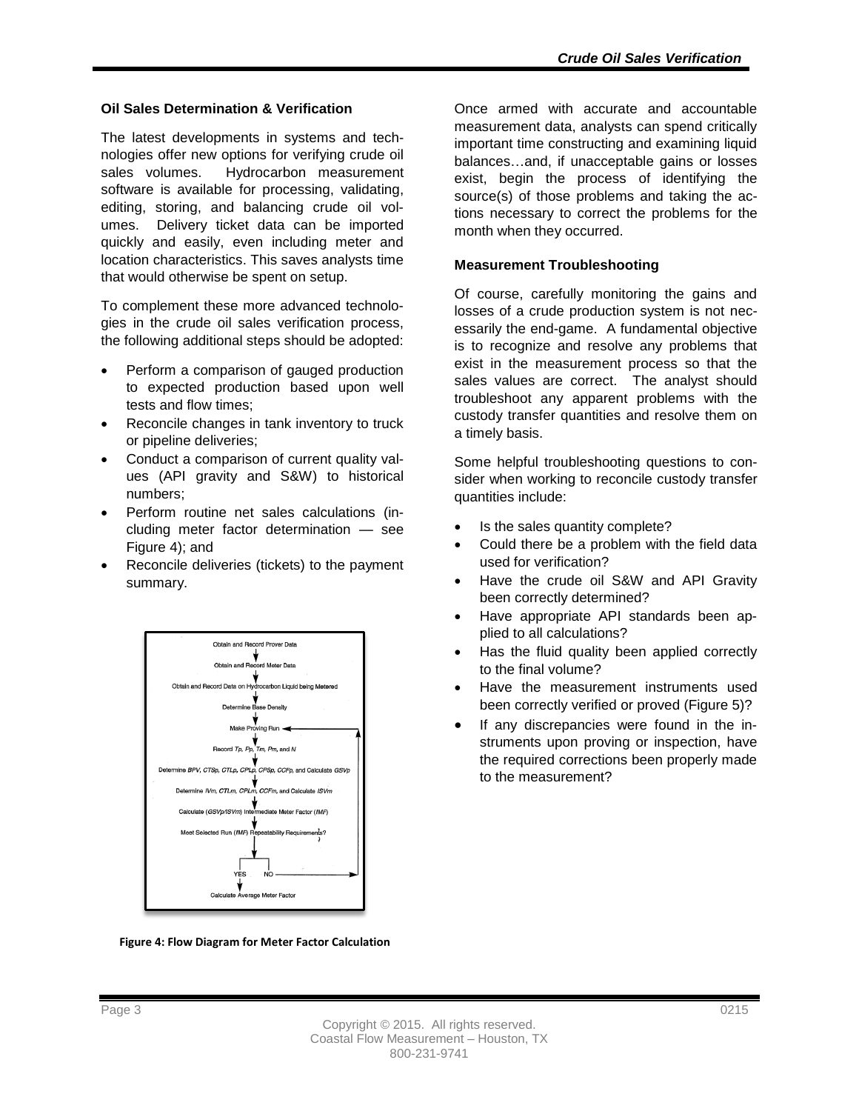## **Oil Sales Determination & Verification**

The latest developments in systems and technologies offer new options for verifying crude oil sales volumes. Hydrocarbon measurement software is available for processing, validating, editing, storing, and balancing crude oil volumes. Delivery ticket data can be imported quickly and easily, even including meter and location characteristics. This saves analysts time that would otherwise be spent on setup.

To complement these more advanced technologies in the crude oil sales verification process, the following additional steps should be adopted:

- Perform a comparison of gauged production to expected production based upon well tests and flow times;
- Reconcile changes in tank inventory to truck or pipeline deliveries;
- Conduct a comparison of current quality values (API gravity and S&W) to historical numbers;
- Perform routine net sales calculations (including meter factor determination — see Figure 4); and
- Reconcile deliveries (tickets) to the payment summary.



**Figure 4: Flow Diagram for Meter Factor Calculation**

Once armed with accurate and accountable measurement data, analysts can spend critically important time constructing and examining liquid balances…and, if unacceptable gains or losses exist, begin the process of identifying the source(s) of those problems and taking the actions necessary to correct the problems for the month when they occurred.

## **Measurement Troubleshooting**

Of course, carefully monitoring the gains and losses of a crude production system is not necessarily the end-game. A fundamental objective is to recognize and resolve any problems that exist in the measurement process so that the sales values are correct. The analyst should troubleshoot any apparent problems with the custody transfer quantities and resolve them on a timely basis.

Some helpful troubleshooting questions to consider when working to reconcile custody transfer quantities include:

- Is the sales quantity complete?
- Could there be a problem with the field data used for verification?
- Have the crude oil S&W and API Gravity been correctly determined?
- Have appropriate API standards been applied to all calculations?
- Has the fluid quality been applied correctly to the final volume?
- Have the measurement instruments used been correctly verified or proved (Figure 5)?
- If any discrepancies were found in the instruments upon proving or inspection, have the required corrections been properly made to the measurement?